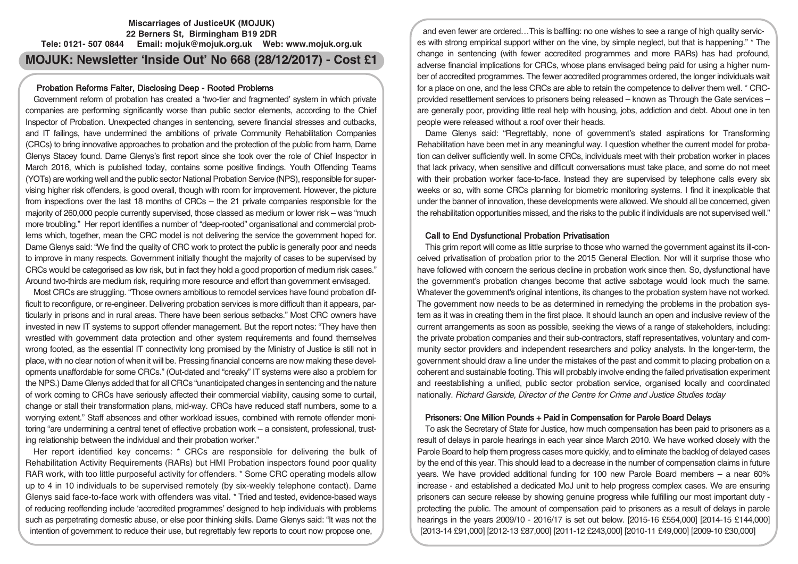# **Miscarriages of JusticeUK (MOJUK) 22 Berners St, Birmingham B19 2DR Tele: 0121- 507 0844 Email: mojuk@mojuk.org.uk Web: www.mojuk.org.uk MOJUK: Newsletter 'Inside Out' No 668 (28/12/2017) - Cost £1**

# Probation Reforms Falter, Disclosing Deep - Rooted Problems

Government reform of probation has created a 'two-tier and fragmented' system in which private companies are performing significantly worse than public sector elements, according to the Chief Inspector of Probation. Unexpected changes in sentencing, severe financial stresses and cutbacks, and IT failings, have undermined the ambitions of private Community Rehabilitation Companies (CRCs) to bring innovative approaches to probation and the protection of the public from harm, Dame Glenys Stacey found. Dame Glenys's first report since she took over the role of Chief Inspector in March 2016, which is published today, contains some positive findings. Youth Offending Teams (YOTs) are working well and the public sector National Probation Service (NPS), responsible for supervising higher risk offenders, is good overall, though with room for improvement. However, the picture from inspections over the last 18 months of CRCs – the 21 private companies responsible for the majority of 260,000 people currently supervised, those classed as medium or lower risk – was "much more troubling." Her report identifies a number of "deep-rooted" organisational and commercial problems which, together, mean the CRC model is not delivering the service the government hoped for. Dame Glenys said: "We find the quality of CRC work to protect the public is generally poor and needs to improve in many respects. Government initially thought the majority of cases to be supervised by CRCs would be categorised as low risk, but in fact they hold a good proportion of medium risk cases." Around two-thirds are medium risk, requiring more resource and effort than government envisaged.

Most CRCs are struggling. "Those owners ambitious to remodel services have found probation difficult to reconfigure, or re-engineer. Delivering probation services is more difficult than it appears, particularly in prisons and in rural areas. There have been serious setbacks." Most CRC owners have invested in new IT systems to support offender management. But the report notes: "They have then wrestled with government data protection and other system requirements and found themselves wrong footed, as the essential IT connectivity long promised by the Ministry of Justice is still not in place, with no clear notion of when it will be. Pressing financial concerns are now making these developments unaffordable for some CRCs." (Out-dated and "creaky" IT systems were also a problem for the NPS.) Dame Glenys added that for all CRCs "unanticipated changes in sentencing and the nature of work coming to CRCs have seriously affected their commercial viability, causing some to curtail, change or stall their transformation plans, mid-way. CRCs have reduced staff numbers, some to a worrying extent." Staff absences and other workload issues, combined with remote offender monitoring "are undermining a central tenet of effective probation work – a consistent, professional, trusting relationship between the individual and their probation worker."

Her report identified key concerns: \* CRCs are responsible for delivering the bulk of Rehabilitation Activity Requirements (RARs) but HMI Probation inspectors found poor quality RAR work, with too little purposeful activity for offenders. \* Some CRC operating models allow up to 4 in 10 individuals to be supervised remotely (by six-weekly telephone contact). Dame Glenys said face-to-face work with offenders was vital. \* Tried and tested, evidence-based ways of reducing reoffending include 'accredited programmes' designed to help individuals with problems such as perpetrating domestic abuse, or else poor thinking skills. Dame Glenys said: "It was not the intention of government to reduce their use, but regrettably few reports to court now propose one,

and even fewer are ordered…This is baffling: no one wishes to see a range of high quality services with strong empirical support wither on the vine, by simple neglect, but that is happening." \* The change in sentencing (with fewer accredited programmes and more RARs) has had profound, adverse financial implications for CRCs, whose plans envisaged being paid for using a higher number of accredited programmes. The fewer accredited programmes ordered, the longer individuals wait for a place on one, and the less CRCs are able to retain the competence to deliver them well. \* CRCprovided resettlement services to prisoners being released – known as Through the Gate services – are generally poor, providing little real help with housing, jobs, addiction and debt. About one in ten people were released without a roof over their heads.

Dame Glenys said: "Regrettably, none of government's stated aspirations for Transforming Rehabilitation have been met in any meaningful way. I question whether the current model for probation can deliver sufficiently well. In some CRCs, individuals meet with their probation worker in places that lack privacy, when sensitive and difficult conversations must take place, and some do not meet with their probation worker face-to-face. Instead they are supervised by telephone calls every six weeks or so, with some CRCs planning for biometric monitoring systems. I find it inexplicable that under the banner of innovation, these developments were allowed. We should all be concerned, given the rehabilitation opportunities missed, and the risks to the public if individuals are not supervised well."

# Call to End Dysfunctional Probation Privatisation

This grim report will come as little surprise to those who warned the government against its ill-conceived privatisation of probation prior to the 2015 General Election. Nor will it surprise those who have followed with concern the serious decline in probation work since then. So, dysfunctional have the government's probation changes become that active sabotage would look much the same. Whatever the government's original intentions, its changes to the probation system have not worked. The government now needs to be as determined in remedying the problems in the probation system as it was in creating them in the first place. It should launch an open and inclusive review of the current arrangements as soon as possible, seeking the views of a range of stakeholders, including: the private probation companies and their sub-contractors, staff representatives, voluntary and community sector providers and independent researchers and policy analysts. In the longer-term, the government should draw a line under the mistakes of the past and commit to placing probation on a coherent and sustainable footing. This will probably involve ending the failed privatisation experiment and reestablishing a unified, public sector probation service, organised locally and coordinated nationally. Richard Garside, Director of the Centre for Crime and Justice Studies today

# Prisoners: One Million Pounds + Paid in Compensation for Parole Board Delays

To ask the Secretary of State for Justice, how much compensation has been paid to prisoners as a result of delays in parole hearings in each year since March 2010. We have worked closely with the Parole Board to help them progress cases more quickly, and to eliminate the backlog of delayed cases by the end of this year. This should lead to a decrease in the number of compensation claims in future years. We have provided additional funding for 100 new Parole Board members – a near 60% increase - and established a dedicated MoJ unit to help progress complex cases. We are ensuring prisoners can secure release by showing genuine progress while fulfilling our most important duty protecting the public. The amount of compensation paid to prisoners as a result of delays in parole hearings in the years 2009/10 - 2016/17 is set out below. [2015-16 £554,000] [2014-15 £144,000] [2013-14 £91,000] [2012-13 £87,000] [2011-12 £243,000] [2010-11 £49,000] [2009-10 £30,000]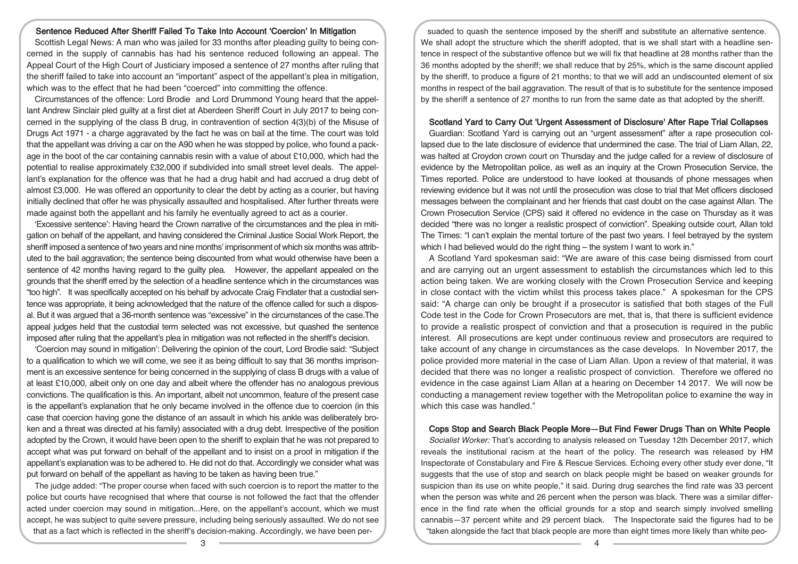## Sentence Reduced After Sheriff Failed To Take Into Account 'Coercion' In Mitigation

Scottish Legal News: A man who was jailed for 33 months after pleading guilty to being concerned in the supply of cannabis has had his sentence reduced following an appeal. The Appeal Court of the High Court of Justiciary imposed a sentence of 27 months after ruling that the sheriff failed to take into account an "important" aspect of the appellant's plea in mitigation, which was to the effect that he had been "coerced" into committing the offence.

Circumstances of the offence: Lord Brodie and Lord Drummond Young heard that the appellant Andrew Sinclair pled guilty at a first diet at Aberdeen Sheriff Court in July 2017 to being concerned in the supplying of the class B drug, in contravention of section 4(3)(b) of the Misuse of Drugs Act 1971 - a charge aggravated by the fact he was on bail at the time. The court was told that the appellant was driving a car on the A90 when he was stopped by police, who found a package in the boot of the car containing cannabis resin with a value of about £10,000, which had the potential to realise approximately £32,000 if subdivided into small street level deals. The appellant's explanation for the offence was that he had a drug habit and had accrued a drug debt of almost £3,000. He was offered an opportunity to clear the debt by acting as a courier, but having initially declined that offer he was physically assaulted and hospitalised. After further threats were made against both the appellant and his family he eventually agreed to act as a courier.

'Excessive sentence': Having heard the Crown narrative of the circumstances and the plea in mitigation on behalf of the appellant, and having considered the Criminal Justice Social Work Report, the sheriff imposed a sentence of two years and nine months' imprisonment of which six months was attributed to the bail aggravation; the sentence being discounted from what would otherwise have been a sentence of 42 months having regard to the guilty plea. However, the appellant appealed on the grounds that the sheriff erred by the selection of a headline sentence which in the circumstances was "too high". It was specifically accepted on his behalf by advocate Craig Findlater that a custodial sentence was appropriate, it being acknowledged that the nature of the offence called for such a disposal. But it was argued that a 36-month sentence was "excessive" in the circumstances of the case.The appeal judges held that the custodial term selected was not excessive, but quashed the sentence imposed after ruling that the appellant's plea in mitigation was not reflected in the sheriff's decision.

'Coercion may sound in mitigation': Delivering the opinion of the court, Lord Brodie said: "Subject to a qualification to which we will come, we see it as being difficult to say that 36 months imprisonment is an excessive sentence for being concerned in the supplying of class B drugs with a value of at least £10,000, albeit only on one day and albeit where the offender has no analogous previous convictions. The qualification is this. An important, albeit not uncommon, feature of the present case is the appellant's explanation that he only became involved in the offence due to coercion (in this case that coercion having gone the distance of an assault in which his ankle was deliberately broken and a threat was directed at his family) associated with a drug debt. Irrespective of the position adopted by the Crown, it would have been open to the sheriff to explain that he was not prepared to accept what was put forward on behalf of the appellant and to insist on a proof in mitigation if the appellant's explanation was to be adhered to. He did not do that. Accordingly we consider what was put forward on behalf of the appellant as having to be taken as having been true."

The judge added: "The proper course when faced with such coercion is to report the matter to the police but courts have recognised that where that course is not followed the fact that the offender acted under coercion may sound in mitigation...Here, on the appellant's account, which we must accept, he was subject to quite severe pressure, including being seriously assaulted. We do not see that as a fact which is reflected in the sheriff's decision-making. Accordingly, we have been per-

suaded to quash the sentence imposed by the sheriff and substitute an alternative sentence. We shall adopt the structure which the sheriff adopted, that is we shall start with a headline sentence in respect of the substantive offence but we will fix that headline at 28 months rather than the 36 months adopted by the sheriff; we shall reduce that by 25%, which is the same discount applied by the sheriff, to produce a figure of 21 months; to that we will add an undiscounted element of six months in respect of the bail aggravation. The result of that is to substitute for the sentence imposed by the sheriff a sentence of 27 months to run from the same date as that adopted by the sheriff.

# Scotland Yard to Carry Out 'Urgent Assessment of Disclosure' After Rape Trial Collapses

Guardian: Scotland Yard is carrying out an "urgent assessment" after a rape prosecution collapsed due to the late disclosure of evidence that undermined the case. The trial of Liam Allan, 22, was halted at Croydon crown court on Thursday and the judge called for a review of disclosure of evidence by the Metropolitan police, as well as an inquiry at the Crown Prosecution Service, the Times reported. Police are understood to have looked at thousands of phone messages when reviewing evidence but it was not until the prosecution was close to trial that Met officers disclosed messages between the complainant and her friends that cast doubt on the case against Allan. The Crown Prosecution Service (CPS) said it offered no evidence in the case on Thursday as it was decided "there was no longer a realistic prospect of conviction". Speaking outside court, Allan told The Times: "I can't explain the mental torture of the past two years. I feel betrayed by the system which I had believed would do the right thing – the system I want to work in."

A Scotland Yard spokesman said: "We are aware of this case being dismissed from court and are carrying out an urgent assessment to establish the circumstances which led to this action being taken. We are working closely with the Crown Prosecution Service and keeping in close contact with the victim whilst this process takes place." A spokesman for the CPS said: "A charge can only be brought if a prosecutor is satisfied that both stages of the Full Code test in the Code for Crown Prosecutors are met, that is, that there is sufficient evidence to provide a realistic prospect of conviction and that a prosecution is required in the public interest. All prosecutions are kept under continuous review and prosecutors are required to take account of any change in circumstances as the case develops. In November 2017, the police provided more material in the case of Liam Allan. Upon a review of that material, it was decided that there was no longer a realistic prospect of conviction. Therefore we offered no evidence in the case against Liam Allan at a hearing on December 14 2017. We will now be conducting a management review together with the Metropolitan police to examine the way in which this case was handled."

#### Cops Stop and Search Black People More—But Find Fewer Drugs Than on White People

Socialist Worker: That's according to analysis released on Tuesday 12th December 2017, which reveals the institutional racism at the heart of the policy. The research was released by HM Inspectorate of Constabulary and Fire & Rescue Services. Echoing every other study ever done, "It suggests that the use of stop and search on black people might be based on weaker grounds for suspicion than its use on white people," it said. During drug searches the find rate was 33 percent when the person was white and 26 percent when the person was black. There was a similar difference in the find rate when the official grounds for a stop and search simply involved smelling cannabis—37 percent white and 29 percent black. The Inspectorate said the figures had to be "taken alongside the fact that black people are more than eight times more likely than white peo-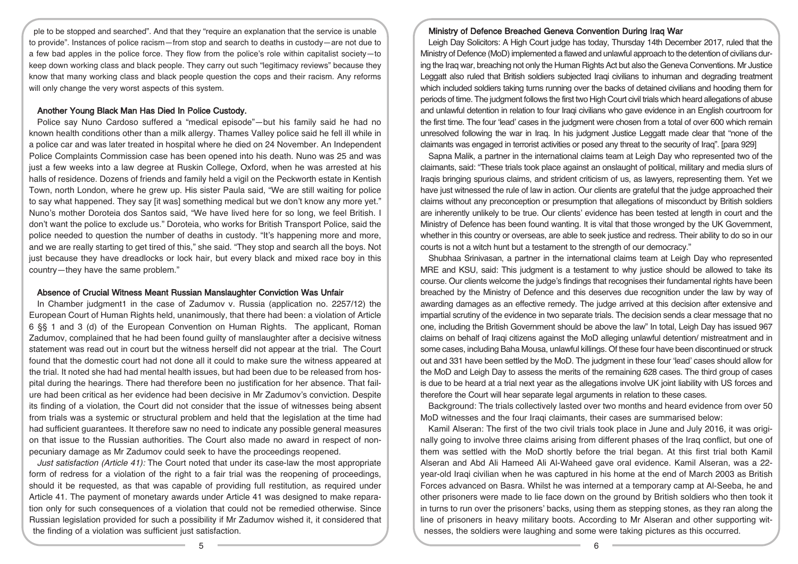ple to be stopped and searched". And that they "require an explanation that the service is unable to provide". Instances of police racism—from stop and search to deaths in custody—are not due to a few bad apples in the police force. They flow from the police's role within capitalist society—to keep down working class and black people. They carry out such "legitimacy reviews" because they know that many working class and black people question the cops and their racism. Any reforms will only change the very worst aspects of this system.

#### Another Young Black Man Has Died In Police Custody.

Police say Nuno Cardoso suffered a "medical episode"—but his family said he had no known health conditions other than a milk allergy. Thames Valley police said he fell ill while in a police car and was later treated in hospital where he died on 24 November. An Independent Police Complaints Commission case has been opened into his death. Nuno was 25 and was just a few weeks into a law degree at Ruskin College, Oxford, when he was arrested at his halls of residence. Dozens of friends and family held a vigil on the Peckworth estate in Kentish Town, north London, where he grew up. His sister Paula said, "We are still waiting for police to say what happened. They say [it was] something medical but we don't know any more yet." Nuno's mother Doroteia dos Santos said, "We have lived here for so long, we feel British. I don't want the police to exclude us." Doroteia, who works for British Transport Police, said the police needed to question the number of deaths in custody. "It's happening more and more, and we are really starting to get tired of this," she said. "They stop and search all the boys. Not just because they have dreadlocks or lock hair, but every black and mixed race boy in this country—they have the same problem."

#### Absence of Crucial Witness Meant Russian Manslaughter Conviction Was Unfair

In Chamber judgment1 in the case of Zadumov v. Russia (application no. 2257/12) the European Court of Human Rights held, unanimously, that there had been: a violation of Article 6 §§ 1 and 3 (d) of the European Convention on Human Rights. The applicant, Roman Zadumov, complained that he had been found guilty of manslaughter after a decisive witness statement was read out in court but the witness herself did not appear at the trial. The Court found that the domestic court had not done all it could to make sure the witness appeared at the trial. It noted she had had mental health issues, but had been due to be released from hospital during the hearings. There had therefore been no justification for her absence. That failure had been critical as her evidence had been decisive in Mr Zadumov's conviction. Despite its finding of a violation, the Court did not consider that the issue of witnesses being absent from trials was a systemic or structural problem and held that the legislation at the time had had sufficient guarantees. It therefore saw no need to indicate any possible general measures on that issue to the Russian authorities. The Court also made no award in respect of nonpecuniary damage as Mr Zadumov could seek to have the proceedings reopened.

Just satisfaction (Article 41): The Court noted that under its case-law the most appropriate form of redress for a violation of the right to a fair trial was the reopening of proceedings, should it be requested, as that was capable of providing full restitution, as required under Article 41. The payment of monetary awards under Article 41 was designed to make reparation only for such consequences of a violation that could not be remedied otherwise. Since Russian legislation provided for such a possibility if Mr Zadumov wished it, it considered that the finding of a violation was sufficient just satisfaction.

#### Ministry of Defence Breached Geneva Convention During Iraq War

Leigh Day Solicitors: A High Court judge has today, Thursday 14th December 2017, ruled that the Ministry of Defence (MoD) implemented a flawed and unlawful approach to the detention of civilians during the Iraq war, breaching not only the Human Rights Act but also the Geneva Conventions. Mr Justice Leggatt also ruled that British soldiers subjected Iraqi civilians to inhuman and degrading treatment which included soldiers taking turns running over the backs of detained civilians and hooding them for periods of time. The judgment follows the first two High Court civil trials which heard allegations of abuse and unlawful detention in relation to four Iraqi civilians who gave evidence in an English courtroom for the first time. The four 'lead' cases in the judgment were chosen from a total of over 600 which remain unresolved following the war in Iraq. In his judgment Justice Leggatt made clear that "none of the claimants was engaged in terrorist activities or posed any threat to the security of Iraq". [para 929]

Sapna Malik, a partner in the international claims team at Leigh Day who represented two of the claimants, said: "These trials took place against an onslaught of political, military and media slurs of Iraqis bringing spurious claims, and strident criticism of us, as lawyers, representing them. Yet we have just witnessed the rule of law in action. Our clients are grateful that the judge approached their claims without any preconception or presumption that allegations of misconduct by British soldiers are inherently unlikely to be true. Our clients' evidence has been tested at length in court and the Ministry of Defence has been found wanting. It is vital that those wronged by the UK Government, whether in this country or overseas, are able to seek justice and redress. Their ability to do so in our courts is not a witch hunt but a testament to the strength of our democracy."

Shubhaa Srinivasan, a partner in the international claims team at Leigh Day who represented MRE and KSU, said: This judgment is a testament to why justice should be allowed to take its course. Our clients welcome the judge's findings that recognises their fundamental rights have been breached by the Ministry of Defence and this deserves due recognition under the law by way of awarding damages as an effective remedy. The judge arrived at this decision after extensive and impartial scrutiny of the evidence in two separate trials. The decision sends a clear message that no one, including the British Government should be above the law" In total, Leigh Day has issued 967 claims on behalf of Iraqi citizens against the MoD alleging unlawful detention/ mistreatment and in some cases, including Baha Mousa, unlawful killings. Of these four have been discontinued or struck out and 331 have been settled by the MoD. The judgment in these four 'lead' cases should allow for the MoD and Leigh Day to assess the merits of the remaining 628 cases. The third group of cases is due to be heard at a trial next year as the allegations involve UK joint liability with US forces and therefore the Court will hear separate legal arguments in relation to these cases.

Background: The trials collectively lasted over two months and heard evidence from over 50 MoD witnesses and the four Iraqi claimants, their cases are summarised below:

Kamil Alseran: The first of the two civil trials took place in June and July 2016, it was originally going to involve three claims arising from different phases of the Iraq conflict, but one of them was settled with the MoD shortly before the trial began. At this first trial both Kamil Alseran and Abd Ali Hameed Ali Al-Waheed gave oral evidence. Kamil Alseran, was a 22 year-old Iraqi civilian when he was captured in his home at the end of March 2003 as British Forces advanced on Basra. Whilst he was interned at a temporary camp at Al-Seeba, he and other prisoners were made to lie face down on the ground by British soldiers who then took it in turns to run over the prisoners' backs, using them as stepping stones, as they ran along the line of prisoners in heavy military boots. According to Mr Alseran and other supporting witnesses, the soldiers were laughing and some were taking pictures as this occurred.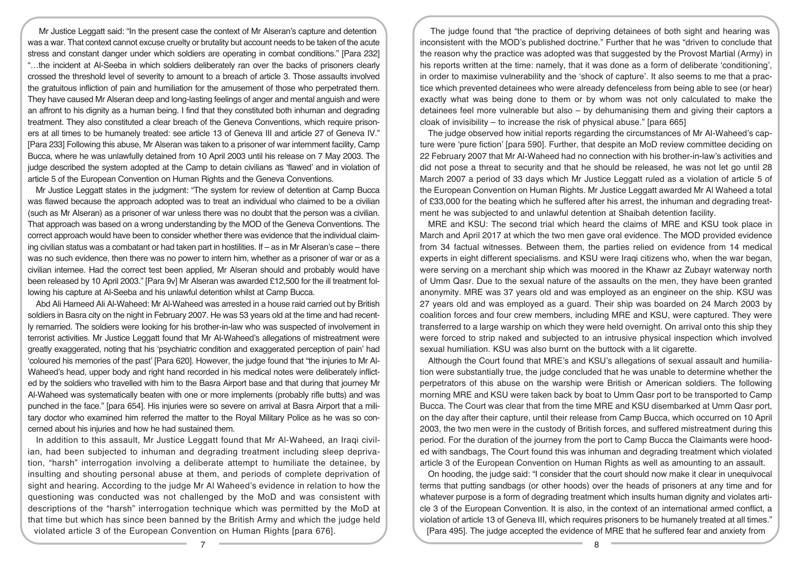Mr Justice Leggatt said: "In the present case the context of Mr Alseran's capture and detention was a war. That context cannot excuse cruelty or brutality but account needs to be taken of the acute stress and constant danger under which soldiers are operating in combat conditions." [Para 232] "…the incident at Al-Seeba in which soldiers deliberately ran over the backs of prisoners clearly crossed the threshold level of severity to amount to a breach of article 3. Those assaults involved the gratuitous infliction of pain and humiliation for the amusement of those who perpetrated them. They have caused Mr Alseran deep and long-lasting feelings of anger and mental anguish and were an affront to his dignity as a human being. I find that they constituted both inhuman and degrading treatment. They also constituted a clear breach of the Geneva Conventions, which require prisoners at all times to be humanely treated: see article 13 of Geneva III and article 27 of Geneva IV." [Para 233] Following this abuse, Mr Alseran was taken to a prisoner of war internment facility, Camp Bucca, where he was unlawfully detained from 10 April 2003 until his release on 7 May 2003. The judge described the system adopted at the Camp to detain civilians as 'flawed' and in violation of article 5 of the European Convention on Human Rights and the Geneva Conventions.

Mr Justice Leggatt states in the judgment: "The system for review of detention at Camp Bucca was flawed because the approach adopted was to treat an individual who claimed to be a civilian (such as Mr Alseran) as a prisoner of war unless there was no doubt that the person was a civilian. That approach was based on a wrong understanding by the MOD of the Geneva Conventions. The correct approach would have been to consider whether there was evidence that the individual claiming civilian status was a combatant or had taken part in hostilities. If – as in Mr Alseran's case – there was no such evidence, then there was no power to intern him, whether as a prisoner of war or as a civilian internee. Had the correct test been applied, Mr Alseran should and probably would have been released by 10 April 2003." [Para 9v] Mr Alseran was awarded £12,500 for the ill treatment following his capture at Al-Seeba and his unlawful detention whilst at Camp Bucca.

Abd Ali Hameed Ali Al-Waheed: Mr Al-Waheed was arrested in a house raid carried out by British soldiers in Basra city on the night in February 2007. He was 53 years old at the time and had recently remarried. The soldiers were looking for his brother-in-law who was suspected of involvement in terrorist activities. Mr Justice Leggatt found that Mr Al-Waheed's allegations of mistreatment were greatly exaggerated, noting that his 'psychiatric condition and exaggerated perception of pain' had 'coloured his memories of the past' [Para 620]. However, the judge found that "the injuries to Mr Al-Waheed's head, upper body and right hand recorded in his medical notes were deliberately inflicted by the soldiers who travelled with him to the Basra Airport base and that during that journey Mr Al-Waheed was systematically beaten with one or more implements (probably rifle butts) and was punched in the face." [para 654]. His injuries were so severe on arrival at Basra Airport that a military doctor who examined him referred the matter to the Royal Military Police as he was so concerned about his injuries and how he had sustained them.

In addition to this assault, Mr Justice Leggatt found that Mr Al-Waheed, an Iraqi civilian, had been subjected to inhuman and degrading treatment including sleep deprivation, "harsh" interrogation involving a deliberate attempt to humiliate the detainee, by insulting and shouting personal abuse at them, and periods of complete deprivation of sight and hearing. According to the judge Mr Al Waheed's evidence in relation to how the questioning was conducted was not challenged by the MoD and was consistent with descriptions of the "harsh" interrogation technique which was permitted by the MoD at that time but which has since been banned by the British Army and which the judge held violated article 3 of the European Convention on Human Rights [para 676].

The judge found that "the practice of depriving detainees of both sight and hearing was inconsistent with the MOD's published doctrine." Further that he was "driven to conclude that the reason why the practice was adopted was that suggested by the Provost Martial (Army) in his reports written at the time: namely, that it was done as a form of deliberate 'conditioning', in order to maximise vulnerability and the 'shock of capture'. It also seems to me that a practice which prevented detainees who were already defenceless from being able to see (or hear) exactly what was being done to them or by whom was not only calculated to make the detainees feel more vulnerable but also – by dehumanising them and giving their captors a cloak of invisibility – to increase the risk of physical abuse." [para 665]

The judge observed how initial reports regarding the circumstances of Mr Al-Waheed's capture were 'pure fiction' [para 590]. Further, that despite an MoD review committee deciding on 22 February 2007 that Mr Al-Waheed had no connection with his brother-in-law's activities and did not pose a threat to security and that he should be released, he was not let go until 28 March 2007 a period of 33 days which Mr Justice Leggatt ruled as a violation of article 5 of the European Convention on Human Rights. Mr Justice Leggatt awarded Mr Al Waheed a total of £33,000 for the beating which he suffered after his arrest, the inhuman and degrading treatment he was subjected to and unlawful detention at Shaibah detention facility.

MRE and KSU: The second trial which heard the claims of MRE and KSU took place in March and April 2017 at which the two men gave oral evidence. The MOD provided evidence from 34 factual witnesses. Between them, the parties relied on evidence from 14 medical experts in eight different specialisms. and KSU were Iraqi citizens who, when the war began, were serving on a merchant ship which was moored in the Khawr az Zubayr waterway north of Umm Qasr. Due to the sexual nature of the assaults on the men, they have been granted anonymity. MRE was 37 years old and was employed as an engineer on the ship. KSU was 27 years old and was employed as a guard. Their ship was boarded on 24 March 2003 by coalition forces and four crew members, including MRE and KSU, were captured. They were transferred to a large warship on which they were held overnight. On arrival onto this ship they were forced to strip naked and subjected to an intrusive physical inspection which involved sexual humiliation. KSU was also burnt on the buttock with a lit cigarette.

Although the Court found that MRE's and KSU's allegations of sexual assault and humiliation were substantially true, the judge concluded that he was unable to determine whether the perpetrators of this abuse on the warship were British or American soldiers. The following morning MRE and KSU were taken back by boat to Umm Qasr port to be transported to Camp Bucca. The Court was clear that from the time MRE and KSU disembarked at Umm Qasr port, on the day after their capture, until their release from Camp Bucca, which occurred on 10 April 2003, the two men were in the custody of British forces, and suffered mistreatment during this period. For the duration of the journey from the port to Camp Bucca the Claimants were hooded with sandbags, The Court found this was inhuman and degrading treatment which violated article 3 of the European Convention on Human Rights as well as amounting to an assault.

On hooding, the judge said: "I consider that the court should now make it clear in unequivocal terms that putting sandbags (or other hoods) over the heads of prisoners at any time and for whatever purpose is a form of degrading treatment which insults human dignity and violates article 3 of the European Convention. It is also, in the context of an international armed conflict, a violation of article 13 of Geneva III, which requires prisoners to be humanely treated at all times." [Para 495]. The judge accepted the evidence of MRE that he suffered fear and anxiety from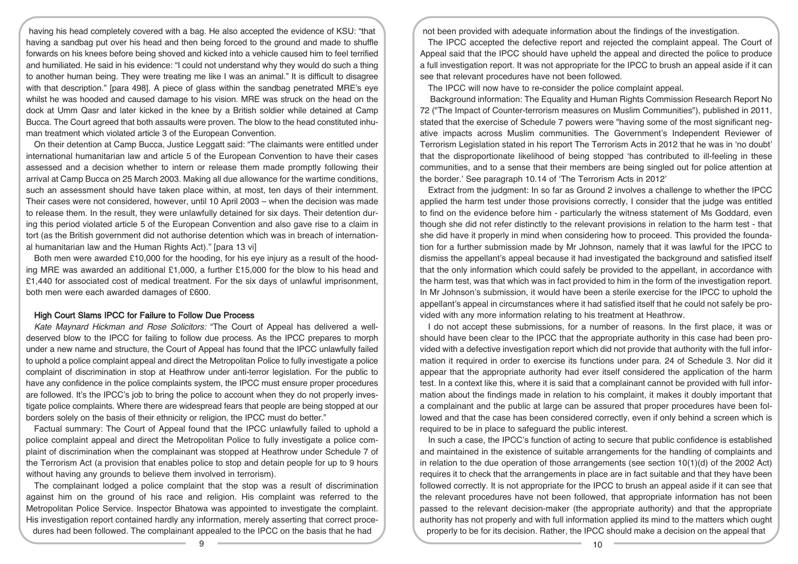having his head completely covered with a bag. He also accepted the evidence of KSU: "that having a sandbag put over his head and then being forced to the ground and made to shuffle forwards on his knees before being shoved and kicked into a vehicle caused him to feel terrified and humiliated. He said in his evidence: "I could not understand why they would do such a thing to another human being. They were treating me like I was an animal." It is difficult to disagree with that description." [para 498]. A piece of glass within the sandbag penetrated MRE's eye whilst he was hooded and caused damage to his vision. MRE was struck on the head on the dock at Umm Qasr and later kicked in the knee by a British soldier while detained at Camp Bucca. The Court agreed that both assaults were proven. The blow to the head constituted inhuman treatment which violated article 3 of the European Convention.

On their detention at Camp Bucca, Justice Leggatt said: "The claimants were entitled under international humanitarian law and article 5 of the European Convention to have their cases assessed and a decision whether to intern or release them made promptly following their arrival at Camp Bucca on 25 March 2003. Making all due allowance for the wartime conditions, such an assessment should have taken place within, at most, ten days of their internment. Their cases were not considered, however, until 10 April 2003 – when the decision was made to release them. In the result, they were unlawfully detained for six days. Their detention during this period violated article 5 of the European Convention and also gave rise to a claim in tort (as the British government did not authorise detention which was in breach of international humanitarian law and the Human Rights Act)." [para 13 vi]

Both men were awarded £10,000 for the hooding, for his eye injury as a result of the hooding MRE was awarded an additional £1,000, a further £15,000 for the blow to his head and £1,440 for associated cost of medical treatment. For the six days of unlawful imprisonment, both men were each awarded damages of £600.

# High Court Slams IPCC for Failure to Follow Due Process

Kate Maynard Hickman and Rose Solicitors: "The Court of Appeal has delivered a welldeserved blow to the IPCC for failing to follow due process. As the IPCC prepares to morph under a new name and structure, the Court of Appeal has found that the IPCC unlawfully failed to uphold a police complaint appeal and direct the Metropolitan Police to fully investigate a police complaint of discrimination in stop at Heathrow under anti-terror legislation. For the public to have any confidence in the police complaints system, the IPCC must ensure proper procedures are followed. It's the IPCC's job to bring the police to account when they do not properly investigate police complaints. Where there are widespread fears that people are being stopped at our borders solely on the basis of their ethnicity or religion, the IPCC must do better."

Factual summary: The Court of Appeal found that the IPCC unlawfully failed to uphold a police complaint appeal and direct the Metropolitan Police to fully investigate a police complaint of discrimination when the complainant was stopped at Heathrow under Schedule 7 of the Terrorism Act (a provision that enables police to stop and detain people for up to 9 hours without having any grounds to believe them involved in terrorism).

The complainant lodged a police complaint that the stop was a result of discrimination against him on the ground of his race and religion. His complaint was referred to the Metropolitan Police Service. Inspector Bhatowa was appointed to investigate the complaint. His investigation report contained hardly any information, merely asserting that correct procedures had been followed. The complainant appealed to the IPCC on the basis that he had

not been provided with adequate information about the findings of the investigation.

The IPCC accepted the defective report and rejected the complaint appeal. The Court of Appeal said that the IPCC should have upheld the appeal and directed the police to produce a full investigation report. It was not appropriate for the IPCC to brush an appeal aside if it can see that relevant procedures have not been followed.

The IPCC will now have to re-consider the police complaint appeal.

Background information: The Equality and Human Rights Commission Research Report No 72 ("The Impact of Counter-terrorism measures on Muslim Communities"), published in 2011, stated that the exercise of Schedule 7 powers were "having some of the most significant negative impacts across Muslim communities. The Government's Independent Reviewer of Terrorism Legislation stated in his report The Terrorism Acts in 2012 that he was in 'no doubt' that the disproportionate likelihood of being stopped 'has contributed to ill-feeling in these communities, and to a sense that their members are being singled out for police attention at the border.' See paragraph 10.14 of 'The Terrorism Acts in 2012'

Extract from the judgment: In so far as Ground 2 involves a challenge to whether the IPCC applied the harm test under those provisions correctly, I consider that the judge was entitled to find on the evidence before him - particularly the witness statement of Ms Goddard, even though she did not refer distinctly to the relevant provisions in relation to the harm test - that she did have it properly in mind when considering how to proceed. This provided the foundation for a further submission made by Mr Johnson, namely that it was lawful for the IPCC to dismiss the appellant's appeal because it had investigated the background and satisfied itself that the only information which could safely be provided to the appellant, in accordance with the harm test, was that which was in fact provided to him in the form of the investigation report. In Mr Johnson's submission, it would have been a sterile exercise for the IPCC to uphold the appellant's appeal in circumstances where it had satisfied itself that he could not safely be provided with any more information relating to his treatment at Heathrow.

I do not accept these submissions, for a number of reasons. In the first place, it was or should have been clear to the IPCC that the appropriate authority in this case had been provided with a defective investigation report which did not provide that authority with the full information it required in order to exercise its functions under para. 24 of Schedule 3. Nor did it appear that the appropriate authority had ever itself considered the application of the harm test. In a context like this, where it is said that a complainant cannot be provided with full information about the findings made in relation to his complaint, it makes it doubly important that a complainant and the public at large can be assured that proper procedures have been followed and that the case has been considered correctly, even if only behind a screen which is required to be in place to safeguard the public interest.

In such a case, the IPCC's function of acting to secure that public confidence is established and maintained in the existence of suitable arrangements for the handling of complaints and in relation to the due operation of those arrangements (see section  $10(1)(d)$  of the 2002 Act) requires it to check that the arrangements in place are in fact suitable and that they have been followed correctly. It is not appropriate for the IPCC to brush an appeal aside if it can see that the relevant procedures have not been followed, that appropriate information has not been passed to the relevant decision-maker (the appropriate authority) and that the appropriate authority has not properly and with full information applied its mind to the matters which ought properly to be for its decision. Rather, the IPCC should make a decision on the appeal that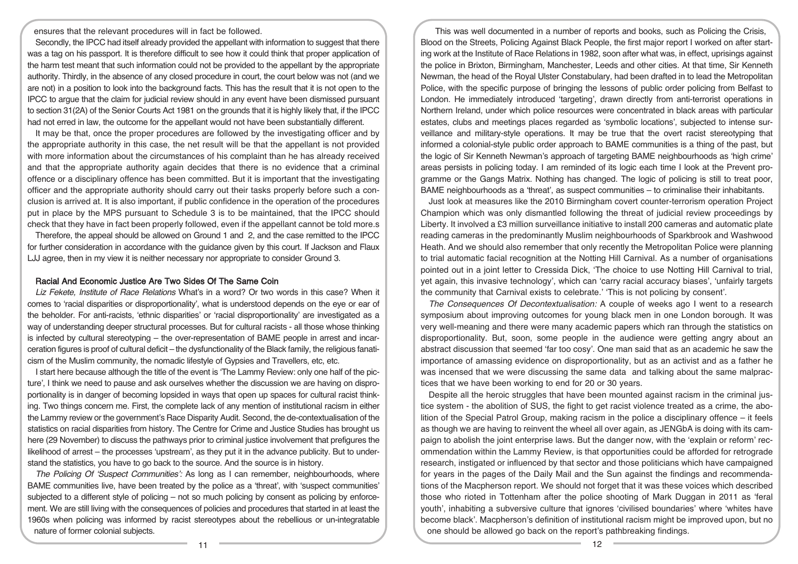ensures that the relevant procedures will in fact be followed.

Secondly, the IPCC had itself already provided the appellant with information to suggest that there was a tag on his passport. It is therefore difficult to see how it could think that proper application of the harm test meant that such information could not be provided to the appellant by the appropriate authority. Thirdly, in the absence of any closed procedure in court, the court below was not (and we are not) in a position to look into the background facts. This has the result that it is not open to the IPCC to argue that the claim for judicial review should in any event have been dismissed pursuant to section 31(2A) of the Senior Courts Act 1981 on the grounds that it is highly likely that, if the IPCC had not erred in law, the outcome for the appellant would not have been substantially different.

It may be that, once the proper procedures are followed by the investigating officer and by the appropriate authority in this case, the net result will be that the appellant is not provided with more information about the circumstances of his complaint than he has already received and that the appropriate authority again decides that there is no evidence that a criminal offence or a disciplinary offence has been committed. But it is important that the investigating officer and the appropriate authority should carry out their tasks properly before such a conclusion is arrived at. It is also important, if public confidence in the operation of the procedures put in place by the MPS pursuant to Schedule 3 is to be maintained, that the IPCC should check that they have in fact been properly followed, even if the appellant cannot be told more.s

Therefore, the appeal should be allowed on Ground 1 and 2, and the case remitted to the IPCC for further consideration in accordance with the guidance given by this court. If Jackson and Flaux LJJ agree, then in my view it is neither necessary nor appropriate to consider Ground 3.

# Racial And Economic Justice Are Two Sides Of The Same Coin

Liz Fekete, Institute of Race Relations What's in a word? Or two words in this case? When it comes to 'racial disparities or disproportionality', what is understood depends on the eye or ear of the beholder. For anti-racists, 'ethnic disparities' or 'racial disproportionality' are investigated as a way of understanding deeper structural processes. But for cultural racists - all those whose thinking is infected by cultural stereotyping – the over-representation of BAME people in arrest and incarceration figures is proof of cultural deficit – the dysfunctionality of the Black family, the religious fanaticism of the Muslim community, the nomadic lifestyle of Gypsies and Travellers, etc, etc.

I start here because although the title of the event is 'The Lammy Review: only one half of the picture', I think we need to pause and ask ourselves whether the discussion we are having on disproportionality is in danger of becoming lopsided in ways that open up spaces for cultural racist thinking. Two things concern me. First, the complete lack of any mention of institutional racism in either the Lammy review or the government's Race Disparity Audit. Second, the de-contextualisation of the statistics on racial disparities from history. The Centre for Crime and Justice Studies has brought us here (29 November) to discuss the pathways prior to criminal justice involvement that prefigures the likelihood of arrest – the processes 'upstream', as they put it in the advance publicity. But to understand the statistics, you have to go back to the source. And the source is in history.

The Policing Of 'Suspect Communities': As long as I can remember, neighbourhoods, where BAME communities live, have been treated by the police as a 'threat', with 'suspect communities' subjected to a different style of policing – not so much policing by consent as policing by enforcement. We are still living with the consequences of policies and procedures that started in at least the 1960s when policing was informed by racist stereotypes about the rebellious or un-integratable nature of former colonial subjects.

This was well documented in a number of reports and books, such as Policing the Crisis, Blood on the Streets, Policing Against Black People, the first major report I worked on after starting work at the Institute of Race Relations in 1982, soon after what was, in effect, uprisings against the police in Brixton, Birmingham, Manchester, Leeds and other cities. At that time, Sir Kenneth Newman, the head of the Royal Ulster Constabulary, had been drafted in to lead the Metropolitan Police, with the specific purpose of bringing the lessons of public order policing from Belfast to London. He immediately introduced 'targeting', drawn directly from anti-terrorist operations in Northern Ireland, under which police resources were concentrated in black areas with particular estates, clubs and meetings places regarded as 'symbolic locations', subjected to intense surveillance and military-style operations. It may be true that the overt racist stereotyping that informed a colonial-style public order approach to BAME communities is a thing of the past, but the logic of Sir Kenneth Newman's approach of targeting BAME neighbourhoods as 'high crime' areas persists in policing today. I am reminded of its logic each time I look at the Prevent programme or the Gangs Matrix. Nothing has changed. The logic of policing is still to treat poor, BAME neighbourhoods as a 'threat', as suspect communities – to criminalise their inhabitants.

Just look at measures like the 2010 Birmingham covert counter-terrorism operation Project Champion which was only dismantled following the threat of judicial review proceedings by Liberty. It involved a £3 million surveillance initiative to install 200 cameras and automatic plate reading cameras in the predominantly Muslim neighbourhoods of Sparkbrook and Washwood Heath. And we should also remember that only recently the Metropolitan Police were planning to trial automatic facial recognition at the Notting Hill Carnival. As a number of organisations pointed out in a joint letter to Cressida Dick, 'The choice to use Notting Hill Carnival to trial, yet again, this invasive technology', which can 'carry racial accuracy biases', 'unfairly targets the community that Carnival exists to celebrate.' 'This is not policing by consent'.

The Consequences Of Decontextualisation: A couple of weeks ago I went to a research symposium about improving outcomes for young black men in one London borough. It was very well-meaning and there were many academic papers which ran through the statistics on disproportionality. But, soon, some people in the audience were getting angry about an abstract discussion that seemed 'far too cosy'. One man said that as an academic he saw the importance of amassing evidence on disproportionality, but as an activist and as a father he was incensed that we were discussing the same data and talking about the same malpractices that we have been working to end for 20 or 30 years.

Despite all the heroic struggles that have been mounted against racism in the criminal justice system - the abolition of SUS, the fight to get racist violence treated as a crime, the abolition of the Special Patrol Group, making racism in the police a disciplinary offence – it feels as though we are having to reinvent the wheel all over again, as JENGbA is doing with its campaign to abolish the joint enterprise laws. But the danger now, with the 'explain or reform' recommendation within the Lammy Review, is that opportunities could be afforded for retrograde research, instigated or influenced by that sector and those politicians which have campaigned for years in the pages of the Daily Mail and the Sun against the findings and recommendations of the Macpherson report. We should not forget that it was these voices which described those who rioted in Tottenham after the police shooting of Mark Duggan in 2011 as 'feral youth', inhabiting a subversive culture that ignores 'civilised boundaries' where 'whites have become black'. Macpherson's definition of institutional racism might be improved upon, but no one should be allowed go back on the report's pathbreaking findings.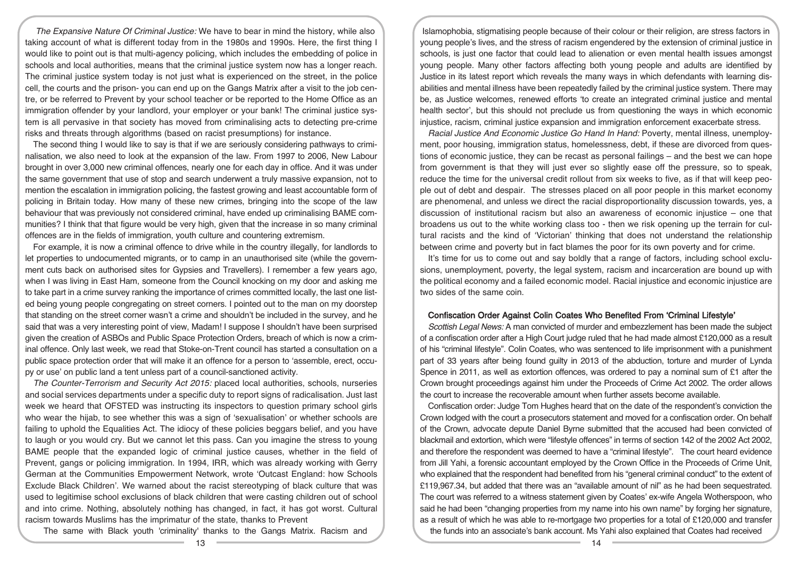The Expansive Nature Of Criminal Justice: We have to bear in mind the history, while also taking account of what is different today from in the 1980s and 1990s. Here, the first thing I would like to point out is that multi-agency policing, which includes the embedding of police in schools and local authorities, means that the criminal justice system now has a longer reach. The criminal justice system today is not just what is experienced on the street, in the police cell, the courts and the prison- you can end up on the Gangs Matrix after a visit to the job centre, or be referred to Prevent by your school teacher or be reported to the Home Office as an immigration offender by your landlord, your employer or your bank! The criminal justice system is all pervasive in that society has moved from criminalising acts to detecting pre-crime risks and threats through algorithms (based on racist presumptions) for instance.

The second thing I would like to say is that if we are seriously considering pathways to criminalisation, we also need to look at the expansion of the law. From 1997 to 2006, New Labour brought in over 3,000 new criminal offences, nearly one for each day in office. And it was under the same government that use of stop and search underwent a truly massive expansion, not to mention the escalation in immigration policing, the fastest growing and least accountable form of policing in Britain today. How many of these new crimes, bringing into the scope of the law behaviour that was previously not considered criminal, have ended up criminalising BAME communities? I think that that figure would be very high, given that the increase in so many criminal offences are in the fields of immigration, youth culture and countering extremism.

For example, it is now a criminal offence to drive while in the country illegally, for landlords to let properties to undocumented migrants, or to camp in an unauthorised site (while the government cuts back on authorised sites for Gypsies and Travellers). I remember a few years ago, when I was living in East Ham, someone from the Council knocking on my door and asking me to take part in a crime survey ranking the importance of crimes committed locally, the last one listed being young people congregating on street corners. I pointed out to the man on my doorstep that standing on the street corner wasn't a crime and shouldn't be included in the survey, and he said that was a very interesting point of view, Madam! I suppose I shouldn't have been surprised given the creation of ASBOs and Public Space Protection Orders, breach of which is now a criminal offence. Only last week, we read that Stoke-on-Trent council has started a consultation on a public space protection order that will make it an offence for a person to 'assemble, erect, occupy or use' on public land a tent unless part of a council-sanctioned activity.

The Counter-Terrorism and Security Act 2015: placed local authorities, schools, nurseries and social services departments under a specific duty to report signs of radicalisation. Just last week we heard that OFSTED was instructing its inspectors to question primary school girls who wear the hijab, to see whether this was a sign of 'sexualisation' or whether schools are failing to uphold the Equalities Act. The idiocy of these policies beggars belief, and you have to laugh or you would cry. But we cannot let this pass. Can you imagine the stress to young BAME people that the expanded logic of criminal justice causes, whether in the field of Prevent, gangs or policing immigration. In 1994, IRR, which was already working with Gerry German at the Communities Empowerment Network, wrote 'Outcast England: how Schools Exclude Black Children'. We warned about the racist stereotyping of black culture that was used to legitimise school exclusions of black children that were casting children out of school and into crime. Nothing, absolutely nothing has changed, in fact, it has got worst. Cultural racism towards Muslims has the imprimatur of the state, thanks to Prevent

The same with Black youth 'criminality' thanks to the Gangs Matrix. Racism and

Islamophobia, stigmatising people because of their colour or their religion, are stress factors in young people's lives, and the stress of racism engendered by the extension of criminal justice in schools, is just one factor that could lead to alienation or even mental health issues amongst young people. Many other factors affecting both young people and adults are identified by Justice in its latest report which reveals the many ways in which defendants with learning disabilities and mental illness have been repeatedly failed by the criminal justice system. There may be, as Justice welcomes, renewed efforts 'to create an integrated criminal justice and mental health sector', but this should not preclude us from questioning the ways in which economic injustice, racism, criminal justice expansion and immigration enforcement exacerbate stress.

Racial Justice And Economic Justice Go Hand In Hand: Poverty, mental illness, unemployment, poor housing, immigration status, homelessness, debt, if these are divorced from questions of economic justice, they can be recast as personal failings – and the best we can hope from government is that they will just ever so slightly ease off the pressure, so to speak, reduce the time for the universal credit rollout from six weeks to five, as if that will keep people out of debt and despair. The stresses placed on all poor people in this market economy are phenomenal, and unless we direct the racial disproportionality discussion towards, yes, a discussion of institutional racism but also an awareness of economic injustice – one that broadens us out to the white working class too - then we risk opening up the terrain for cultural racists and the kind of 'Victorian' thinking that does not understand the relationship between crime and poverty but in fact blames the poor for its own poverty and for crime.

It's time for us to come out and say boldly that a range of factors, including school exclusions, unemployment, poverty, the legal system, racism and incarceration are bound up with the political economy and a failed economic model. Racial injustice and economic injustice are two sides of the same coin.

# Confiscation Order Against Colin Coates Who Benefited From 'Criminal Lifestyle'

Scottish Legal News: A man convicted of murder and embezzlement has been made the subject of a confiscation order after a High Court judge ruled that he had made almost £120,000 as a result of his "criminal lifestyle". Colin Coates, who was sentenced to life imprisonment with a punishment part of 33 years after being found guilty in 2013 of the abduction, torture and murder of Lynda Spence in 2011, as well as extortion offences, was ordered to pay a nominal sum of £1 after the Crown brought proceedings against him under the Proceeds of Crime Act 2002. The order allows the court to increase the recoverable amount when further assets become available.

Confiscation order: Judge Tom Hughes heard that on the date of the respondent's conviction the Crown lodged with the court a prosecutors statement and moved for a confiscation order. On behalf of the Crown, advocate depute Daniel Byrne submitted that the accused had been convicted of blackmail and extortion, which were "lifestyle offences" in terms of section 142 of the 2002 Act 2002, and therefore the respondent was deemed to have a "criminal lifestyle". The court heard evidence from Jill Yahi, a forensic accountant employed by the Crown Office in the Proceeds of Crime Unit, who explained that the respondent had benefited from his "general criminal conduct" to the extent of £119,967.34, but added that there was an "available amount of nil" as he had been sequestrated. The court was referred to a witness statement given by Coates' ex-wife Angela Wotherspoon, who said he had been "changing properties from my name into his own name" by forging her signature, as a result of which he was able to re-mortgage two properties for a total of £120,000 and transfer the funds into an associate's bank account. Ms Yahi also explained that Coates had received

13 14